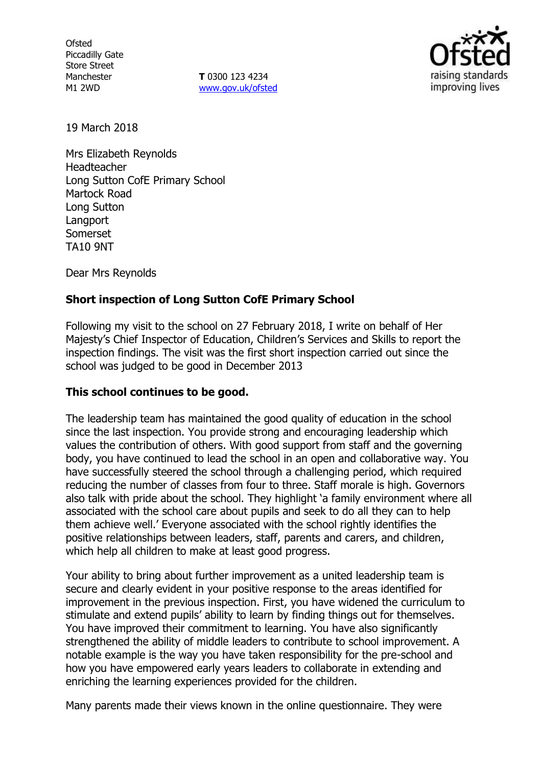**Ofsted** Piccadilly Gate Store Street Manchester M1 2WD

**T** 0300 123 4234 www.gov.uk/ofsted



19 March 2018

Mrs Elizabeth Reynolds Headteacher Long Sutton CofE Primary School Martock Road Long Sutton Langport Somerset TA10 9NT

Dear Mrs Reynolds

# **Short inspection of Long Sutton CofE Primary School**

Following my visit to the school on 27 February 2018, I write on behalf of Her Majesty's Chief Inspector of Education, Children's Services and Skills to report the inspection findings. The visit was the first short inspection carried out since the school was judged to be good in December 2013

#### **This school continues to be good.**

The leadership team has maintained the good quality of education in the school since the last inspection. You provide strong and encouraging leadership which values the contribution of others. With good support from staff and the governing body, you have continued to lead the school in an open and collaborative way. You have successfully steered the school through a challenging period, which required reducing the number of classes from four to three. Staff morale is high. Governors also talk with pride about the school. They highlight 'a family environment where all associated with the school care about pupils and seek to do all they can to help them achieve well.' Everyone associated with the school rightly identifies the positive relationships between leaders, staff, parents and carers, and children, which help all children to make at least good progress.

Your ability to bring about further improvement as a united leadership team is secure and clearly evident in your positive response to the areas identified for improvement in the previous inspection. First, you have widened the curriculum to stimulate and extend pupils' ability to learn by finding things out for themselves. You have improved their commitment to learning. You have also significantly strengthened the ability of middle leaders to contribute to school improvement. A notable example is the way you have taken responsibility for the pre-school and how you have empowered early years leaders to collaborate in extending and enriching the learning experiences provided for the children.

Many parents made their views known in the online questionnaire. They were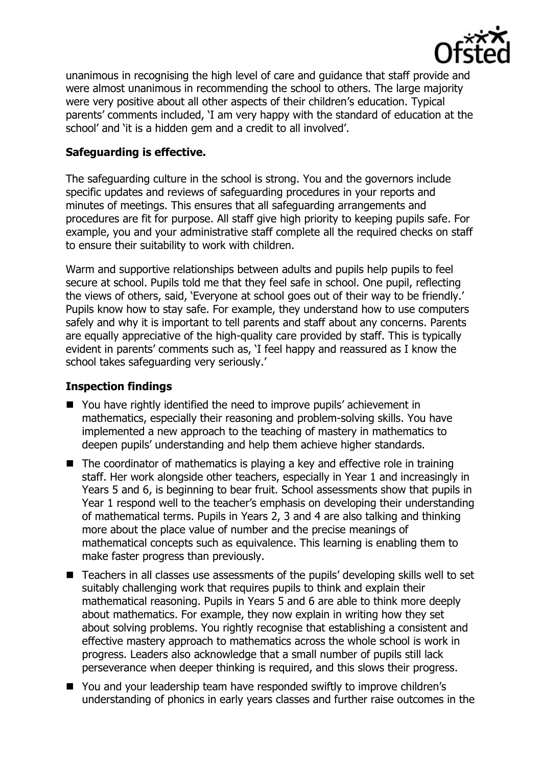

unanimous in recognising the high level of care and guidance that staff provide and were almost unanimous in recommending the school to others. The large majority were very positive about all other aspects of their children's education. Typical parents' comments included, 'I am very happy with the standard of education at the school' and 'it is a hidden gem and a credit to all involved'.

# **Safeguarding is effective.**

The safeguarding culture in the school is strong. You and the governors include specific updates and reviews of safeguarding procedures in your reports and minutes of meetings. This ensures that all safeguarding arrangements and procedures are fit for purpose. All staff give high priority to keeping pupils safe. For example, you and your administrative staff complete all the required checks on staff to ensure their suitability to work with children.

Warm and supportive relationships between adults and pupils help pupils to feel secure at school. Pupils told me that they feel safe in school. One pupil, reflecting the views of others, said, 'Everyone at school goes out of their way to be friendly.' Pupils know how to stay safe. For example, they understand how to use computers safely and why it is important to tell parents and staff about any concerns. Parents are equally appreciative of the high-quality care provided by staff. This is typically evident in parents' comments such as, 'I feel happy and reassured as I know the school takes safeguarding very seriously.'

### **Inspection findings**

- You have rightly identified the need to improve pupils' achievement in mathematics, especially their reasoning and problem-solving skills. You have implemented a new approach to the teaching of mastery in mathematics to deepen pupils' understanding and help them achieve higher standards.
- $\blacksquare$  The coordinator of mathematics is playing a key and effective role in training staff. Her work alongside other teachers, especially in Year 1 and increasingly in Years 5 and 6, is beginning to bear fruit. School assessments show that pupils in Year 1 respond well to the teacher's emphasis on developing their understanding of mathematical terms. Pupils in Years 2, 3 and 4 are also talking and thinking more about the place value of number and the precise meanings of mathematical concepts such as equivalence. This learning is enabling them to make faster progress than previously.
- Teachers in all classes use assessments of the pupils' developing skills well to set suitably challenging work that requires pupils to think and explain their mathematical reasoning. Pupils in Years 5 and 6 are able to think more deeply about mathematics. For example, they now explain in writing how they set about solving problems. You rightly recognise that establishing a consistent and effective mastery approach to mathematics across the whole school is work in progress. Leaders also acknowledge that a small number of pupils still lack perseverance when deeper thinking is required, and this slows their progress.
- You and your leadership team have responded swiftly to improve children's understanding of phonics in early years classes and further raise outcomes in the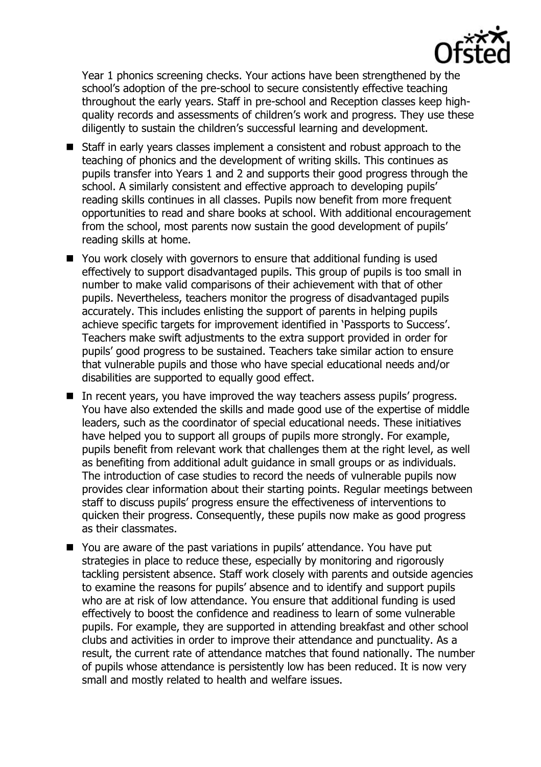

Year 1 phonics screening checks. Your actions have been strengthened by the school's adoption of the pre-school to secure consistently effective teaching throughout the early years. Staff in pre-school and Reception classes keep highquality records and assessments of children's work and progress. They use these diligently to sustain the children's successful learning and development.

- Staff in early years classes implement a consistent and robust approach to the teaching of phonics and the development of writing skills. This continues as pupils transfer into Years 1 and 2 and supports their good progress through the school. A similarly consistent and effective approach to developing pupils' reading skills continues in all classes. Pupils now benefit from more frequent opportunities to read and share books at school. With additional encouragement from the school, most parents now sustain the good development of pupils' reading skills at home.
- You work closely with governors to ensure that additional funding is used effectively to support disadvantaged pupils. This group of pupils is too small in number to make valid comparisons of their achievement with that of other pupils. Nevertheless, teachers monitor the progress of disadvantaged pupils accurately. This includes enlisting the support of parents in helping pupils achieve specific targets for improvement identified in 'Passports to Success'. Teachers make swift adjustments to the extra support provided in order for pupils' good progress to be sustained. Teachers take similar action to ensure that vulnerable pupils and those who have special educational needs and/or disabilities are supported to equally good effect.
- In recent years, you have improved the way teachers assess pupils' progress. You have also extended the skills and made good use of the expertise of middle leaders, such as the coordinator of special educational needs. These initiatives have helped you to support all groups of pupils more strongly. For example, pupils benefit from relevant work that challenges them at the right level, as well as benefiting from additional adult guidance in small groups or as individuals. The introduction of case studies to record the needs of vulnerable pupils now provides clear information about their starting points. Regular meetings between staff to discuss pupils' progress ensure the effectiveness of interventions to quicken their progress. Consequently, these pupils now make as good progress as their classmates.
- You are aware of the past variations in pupils' attendance. You have put strategies in place to reduce these, especially by monitoring and rigorously tackling persistent absence. Staff work closely with parents and outside agencies to examine the reasons for pupils' absence and to identify and support pupils who are at risk of low attendance. You ensure that additional funding is used effectively to boost the confidence and readiness to learn of some vulnerable pupils. For example, they are supported in attending breakfast and other school clubs and activities in order to improve their attendance and punctuality. As a result, the current rate of attendance matches that found nationally. The number of pupils whose attendance is persistently low has been reduced. It is now very small and mostly related to health and welfare issues.